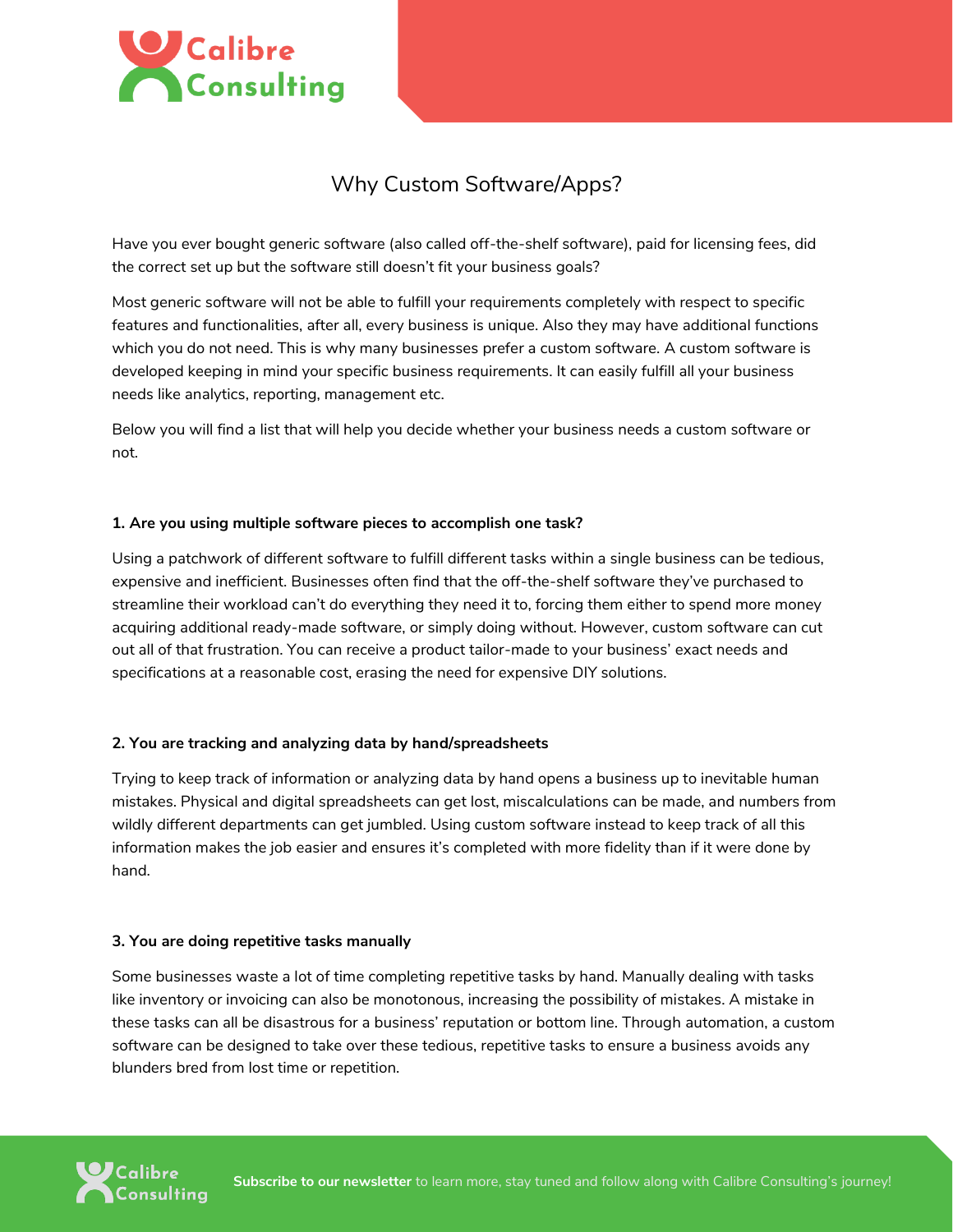

# Why Custom Software/Apps?

Have you ever bought generic software (also called off-the-shelf software), paid for licensing fees, did the correct set up but the software still doesn't fit your business goals?

Most generic software will not be able to fulfill your requirements completely with respect to specific features and functionalities, after all, every business is unique. Also they may have additional functions which you do not need. This is why many businesses prefer a custom software. A custom software is developed keeping in mind your specific business requirements. It can easily fulfill all your business needs like analytics, reporting, management etc.

Below you will find a list that will help you decide whether your business needs a custom software or not.

#### **1. Are you using multiple software pieces to accomplish one task?**

Using a patchwork of different software to fulfill different tasks within a single business can be tedious, expensive and inefficient. Businesses often find that the off-the-shelf software they've purchased to streamline their workload can't do everything they need it to, forcing them either to spend more money acquiring additional ready-made software, or simply doing without. However, custom software can cut out all of that frustration. You can receive a product tailor-made to your business' exact needs and specifications at a reasonable cost, erasing the need for expensive DIY solutions.

# **2. You are tracking and analyzing data by hand/spreadsheets**

Trying to keep track of information or analyzing data by hand opens a business up to inevitable human mistakes. Physical and digital spreadsheets can get lost, miscalculations can be made, and numbers from wildly different departments can get jumbled. Using custom software instead to keep track of all this information makes the job easier and ensures it's completed with more fidelity than if it were done by hand.

#### **3. You are doing repetitive tasks manually**

Some businesses waste a lot of time completing repetitive tasks by hand. Manually dealing with tasks like inventory or invoicing can also be monotonous, increasing the possibility of mistakes. A mistake in these tasks can all be disastrous for a business' reputation or bottom line. Through automation, a custom software can be designed to take over these tedious, repetitive tasks to ensure a business avoids any blunders bred from lost time or repetition.

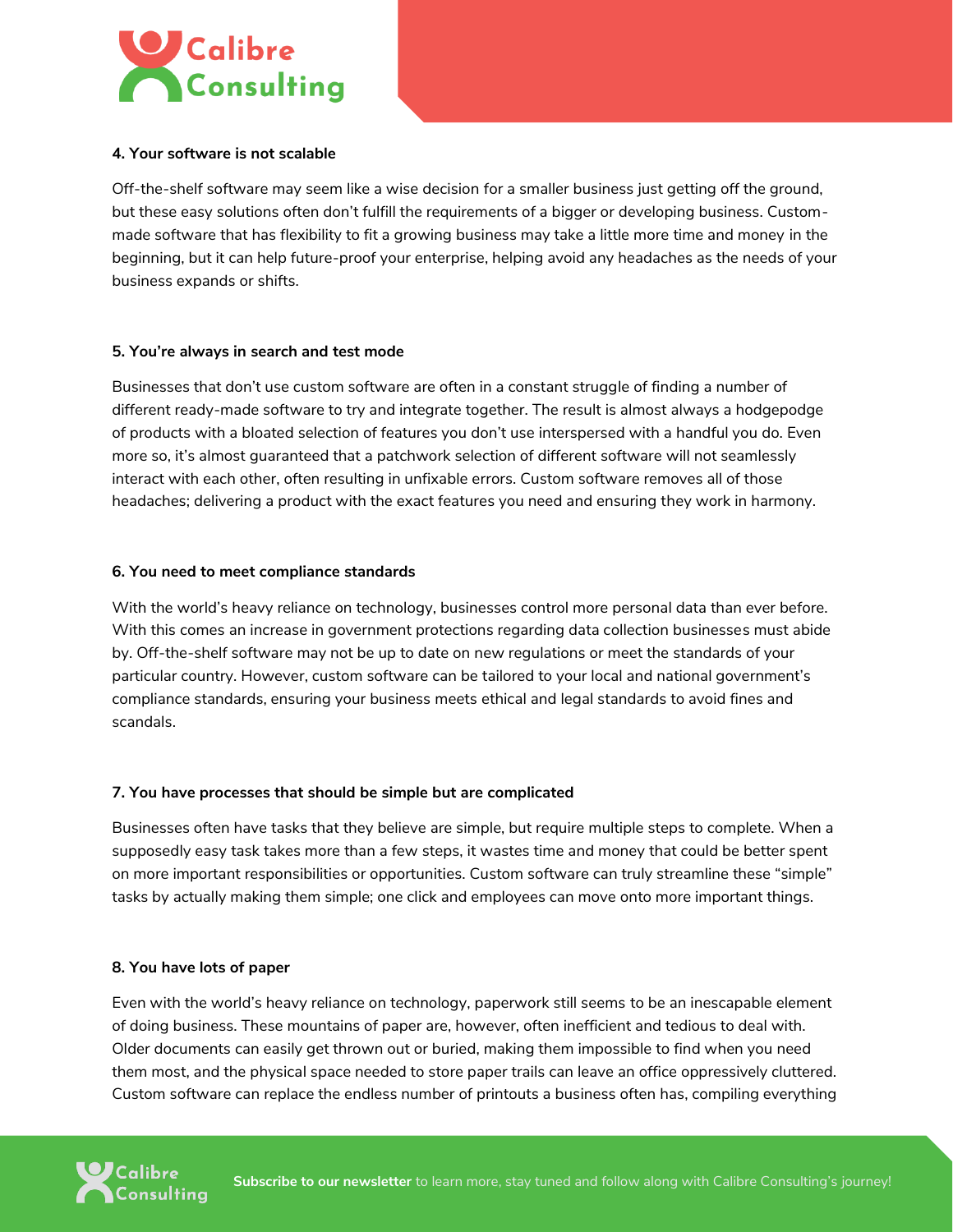

#### **4. Your software is not scalable**

Off-the-shelf software may seem like a wise decision for a smaller business just getting off the ground, but these easy solutions often don't fulfill the requirements of a bigger or developing business. Custommade software that has flexibility to fit a growing business may take a little more time and money in the beginning, but it can help future-proof your enterprise, helping avoid any headaches as the needs of your business expands or shifts.

#### **5. You're always in search and test mode**

Businesses that don't use custom software are often in a constant struggle of finding a number of different ready-made software to try and integrate together. The result is almost always a hodgepodge of products with a bloated selection of features you don't use interspersed with a handful you do. Even more so, it's almost guaranteed that a patchwork selection of different software will not seamlessly interact with each other, often resulting in unfixable errors. Custom software removes all of those headaches; delivering a product with the exact features you need and ensuring they work in harmony.

#### **6. You need to meet compliance standards**

With the world's heavy reliance on technology, businesses control more personal data than ever before. With this comes an increase in government protections regarding data collection businesses must abide by. Off-the-shelf software may not be up to date on new regulations or meet the standards of your particular country. However, custom software can be tailored to your local and national government's compliance standards, ensuring your business meets ethical and legal standards to avoid fines and scandals.

# **7. You have processes that should be simple but are complicated**

Businesses often have tasks that they believe are simple, but require multiple steps to complete. When a supposedly easy task takes more than a few steps, it wastes time and money that could be better spent on more important responsibilities or opportunities. Custom software can truly streamline these "simple" tasks by actually making them simple; one click and employees can move onto more important things.

# **8. You have lots of paper**

Even with the world's heavy reliance on technology, paperwork still seems to be an inescapable element of doing business. These mountains of paper are, however, often inefficient and tedious to deal with. Older documents can easily get thrown out or buried, making them impossible to find when you need them most, and the physical space needed to store paper trails can leave an office oppressively cluttered. Custom software can replace the endless number of printouts a business often has, compiling everything